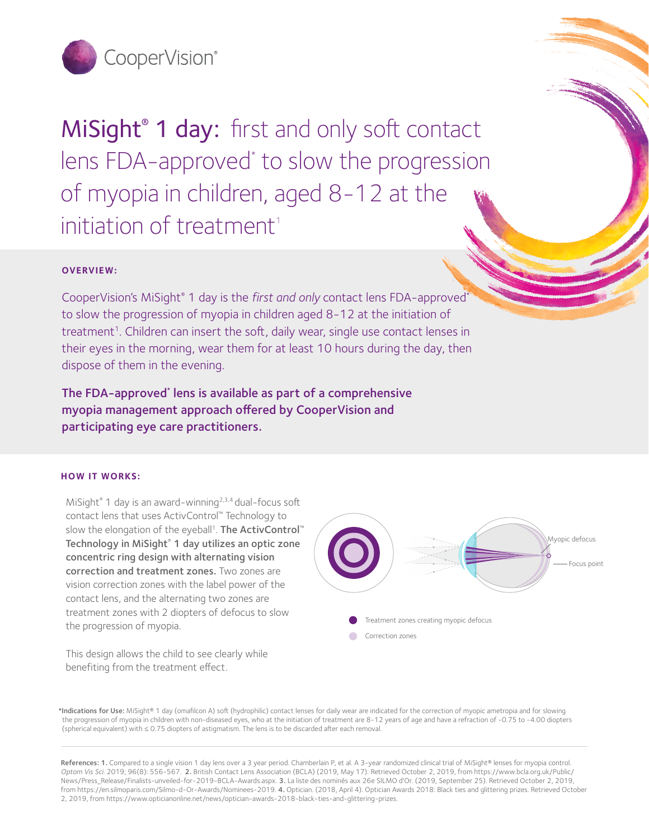

MiSight<sup>®</sup> 1 day: first and only soft contact lens FDA-approved<sup>\*</sup> to slow the progression of myopia in children, aged 8-12 at the initiation of treatment<sup>1</sup>

# **OVERVIEW:**

CooperVision's MiSight® 1 day is the *first and only* contact lens FDA-approved\* to slow the progression of myopia in children aged 8-12 at the initiation of treatment<sup>1</sup>. Children can insert the soft, daily wear, single use contact lenses in their eyes in the morning, wear them for at least 10 hours during the day, then dispose of them in the evening.

The FDA-approved\* lens is available as part of a comprehensive myopia management approach offered by CooperVision and participating eye care practitioners.

### **HOW IT WORKS:**

MiSight<sup>®</sup> 1 day is an award-winning<sup>2,3,4</sup> dual-focus soft contact lens that uses ActivControl™ Technology to slow the elongation of the eyeball<sup>1</sup>. The ActivControl™ Technology in MiSight® 1 day utilizes an optic zone concentric ring design with alternating vision correction and treatment zones. Two zones are vision correction zones with the label power of the contact lens, and the alternating two zones are treatment zones with 2 diopters of defocus to slow the progression of myopia.

This design allows the child to see clearly while benefiting from the treatment effect.



\*Indications for Use: MiSight® 1 day (omafilcon A) soft (hydrophilic) contact lenses for daily wear are indicated for the correction of myopic ametropia and for slowing the progression of myopia in children with non-diseased eyes, who at the initiation of treatment are 8-12 years of age and have a refraction of -0.75 to -4.00 diopters (spherical equivalent) with ≤ 0.75 diopters of astigmatism. The lens is to be discarded after each removal.

References: 1. Compared to a single vision 1 day lens over a 3 year period. Chamberlain P, et al. A 3-year randomized clinical trial of MiSight® lenses for myopia control. *Optom Vis Sci.* 2019; 96(8): 556-567. 2. British Contact Lens Association (BCLA) (2019, May 17). Retrieved October 2, 2019, from https://www.bcla.org.uk/Public/ News/Press\_Release/Finalists-unveiled-for-2019-BCLA-Awards.aspx. 3. La liste des nominés aux 26e SILMO d'Or. (2019, September 25). Retrieved October 2, 2019, from https://en.silmoparis.com/Silmo-d-Or-Awards/Nominees-2019. 4. Optician. (2018, April 4). Optician Awards 2018: Black ties and glittering prizes. Retrieved October 2, 2019, from https://www.opticianonline.net/news/optician-awards-2018-black-ties-and-glittering-prizes.